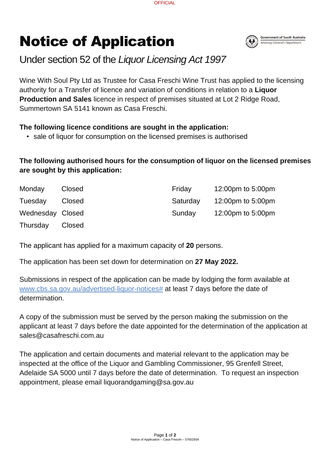Page **1** of **2** Notice of Application – Casa Freschi – 57602934

## Notice of Application



## Under section 52 of the *Liquor Licensing Act 1997*

Wine With Soul Pty Ltd as Trustee for Casa Freschi Wine Trust has applied to the licensing authority for a Transfer of licence and variation of conditions in relation to a **Liquor Production and Sales** licence in respect of premises situated at Lot 2 Ridge Road, Summertown SA 5141 known as Casa Freschi.

## **The following licence conditions are sought in the application:**

• sale of liquor for consumption on the licensed premises is authorised

## **The following authorised hours for the consumption of liquor on the licensed premises are sought by this application:**

| Monday           | <b>Closed</b> | Friday   | 12:00pm to 5:00pm |
|------------------|---------------|----------|-------------------|
| Tuesday          | <b>Closed</b> | Saturday | 12:00pm to 5:00pm |
| Wednesday Closed |               | Sunday   | 12:00pm to 5:00pm |
| Thursday         | <b>Closed</b> |          |                   |

The applicant has applied for a maximum capacity of **20** persons.

The application has been set down for determination on **27 May 2022.**

Submissions in respect of the application can be made by lodging the form available at [www.cbs.sa.gov.au/advertised-liquor-notices#](http://www.cbs.sa.gov.au/advertised-liquor-notices) at least 7 days before the date of determination.

A copy of the submission must be served by the person making the submission on the applicant at least 7 days before the date appointed for the determination of the application at sales@casafreschi.com.au

The application and certain documents and material relevant to the application may be inspected at the office of the Liquor and Gambling Commissioner, 95 Grenfell Street, Adelaide SA 5000 until 7 days before the date of determination. To request an inspection appointment, please email liquorandgaming@sa.gov.au